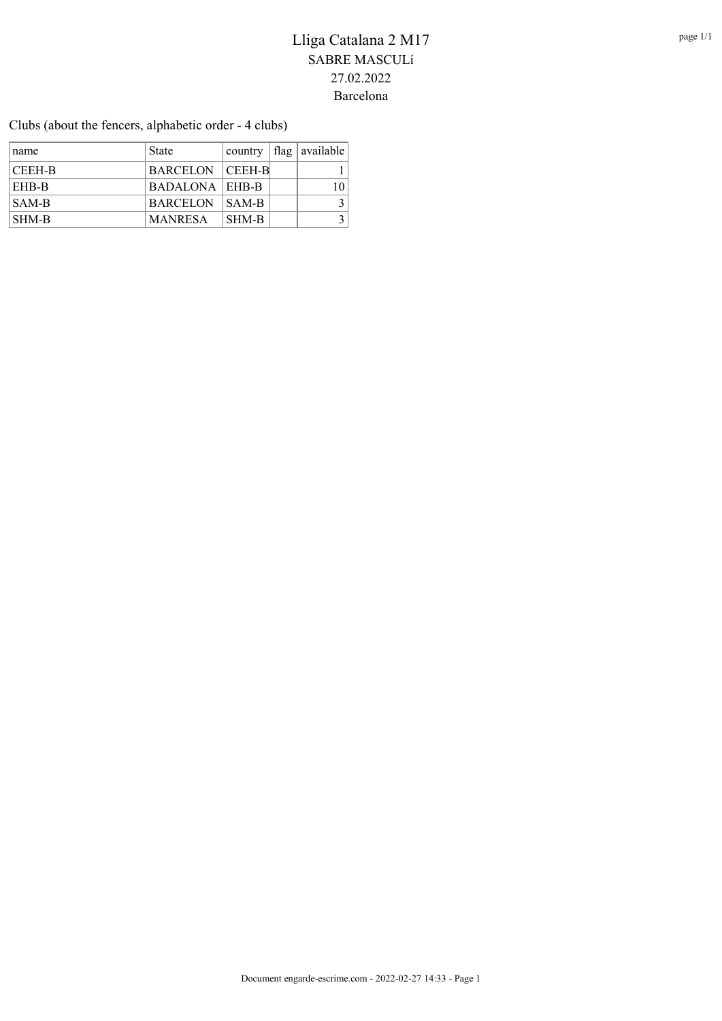Clubs (about the fencers, alphabetic order - 4 clubs)

| name          | <b>State</b>          | country | $\vert$ flag $\vert$ available $\vert$ |
|---------------|-----------------------|---------|----------------------------------------|
| <b>CEEH-B</b> | BARCELON CEEH-B       |         |                                        |
| <b>EHB-B</b>  | <b>BADALONA EHB-B</b> |         |                                        |
| SAM-B         | BARCELON SAM-B        |         |                                        |
| SHM-B         | <b>MANRESA</b>        | SHM-B   |                                        |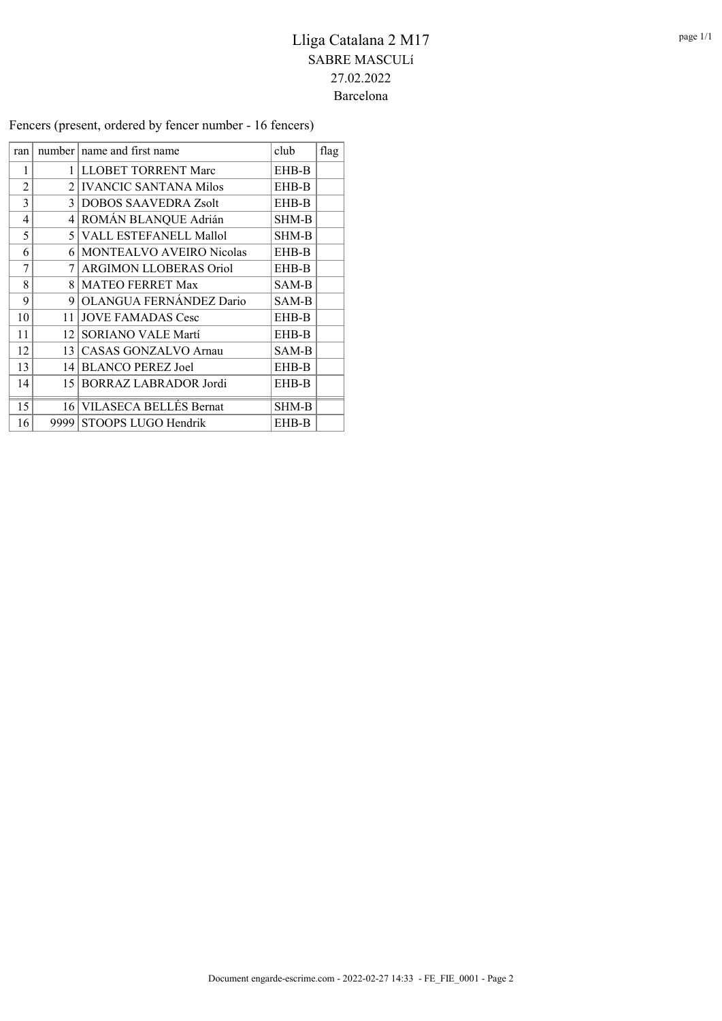Fencers (present, ordered by fencer number - 16 fencers)

| ran            |                | number   name and first name    | club         | flag |
|----------------|----------------|---------------------------------|--------------|------|
| 1              | 1              | <b>LLOBET TORRENT Marc</b>      | EHB-B        |      |
| $\overline{2}$ | $\mathfrak{D}$ | <b>IVANCIC SANTANA Milos</b>    | EHB-B        |      |
| 3              | 3              | <b>DOBOS SAAVEDRA Zsolt</b>     | EHB-B        |      |
| 4              | 4              | ROMÁN BLANQUE Adrián            | SHM-B        |      |
| 5              | 5              | VALL ESTEFANELL Mallol          | SHM-B        |      |
| 6              | 6              | <b>MONTEALVO AVEIRO Nicolas</b> | EHB-B        |      |
| 7              | 7              | <b>ARGIMON LLOBERAS Oriol</b>   | EHB-B        |      |
| 8              | 8              | <b>MATEO FERRET Max</b>         | SAM-B        |      |
| 9              | 9              | OLANGUA FERNÁNDEZ Dario         | SAM-B        |      |
| 10             | 11             | <b>JOVE FAMADAS Cesc</b>        | EHB-B        |      |
| 11             | 12             | <b>SORIANO VALE Martí</b>       | EHB-B        |      |
| 12             | 13             | <b>CASAS GONZALVO Arnau</b>     | SAM-B        |      |
| 13             | 14             | <b>BLANCO PEREZ Joel</b>        | EHB-B        |      |
| 14             | 15             | BORRAZ LABRADOR Jordi           | EHB-B        |      |
| 15             | 16             | VILASECA BELLÉS Bernat          | <b>SHM-B</b> |      |
| 16             | 9999           | STOOPS LUGO Hendrik             | EHB-B        |      |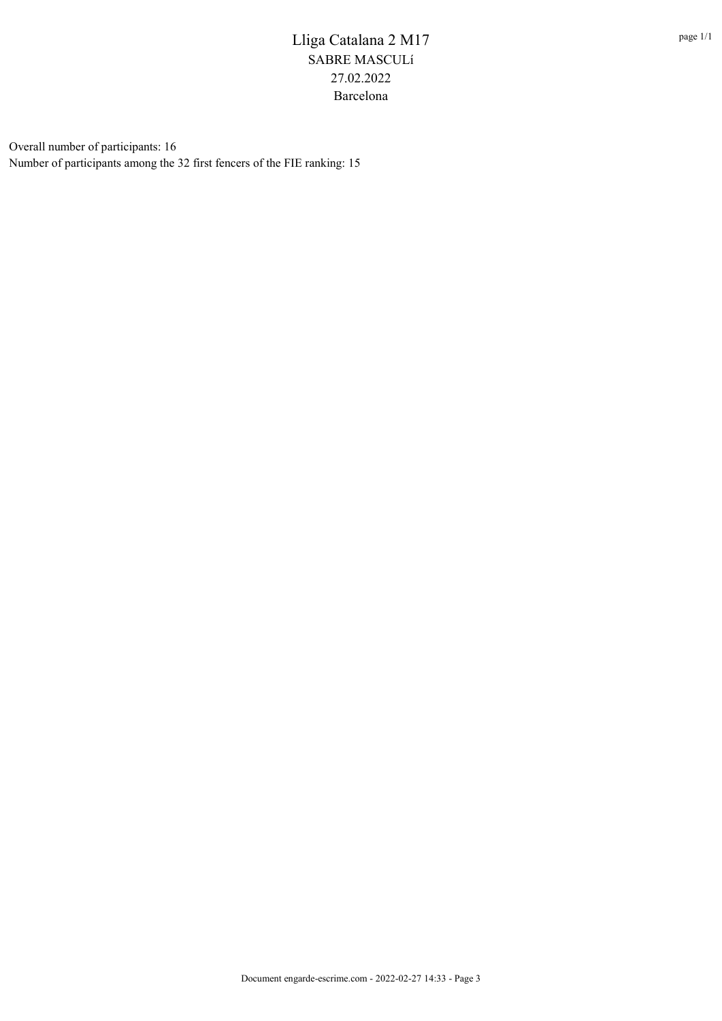Overall number of participants: 16 Number of participants among the 32 first fencers of the FIE ranking: 15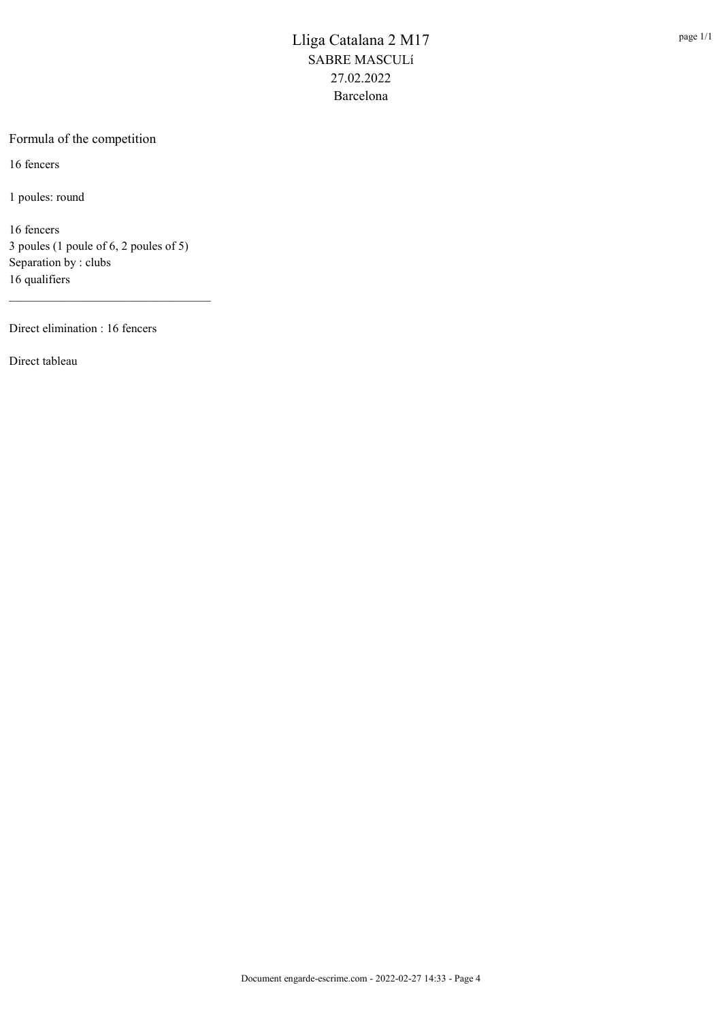#### Formula of the competition

16 fencers

1 poules: round

16 fencers 3 poules (1 poule of 6, 2 poules of 5) Separation by : clubs 16 qualifiers

\_\_\_\_\_\_\_\_\_\_\_\_\_\_\_\_\_\_\_\_\_\_\_\_\_\_\_\_\_\_\_\_\_

Direct elimination : 16 fencers

Direct tableau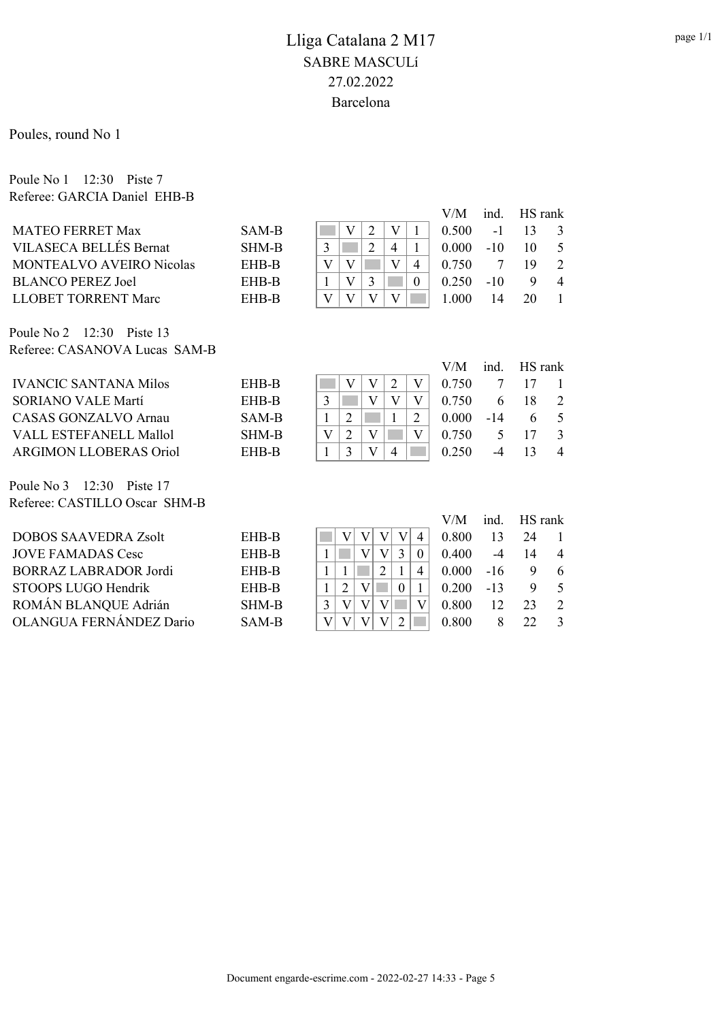Poules, round No 1

Poule No 1 12:30 Piste 7 Referee: GARCIA Daniel EHB-B

|                                 |              |  |  | V/M   | ind.      | HS rank |                |
|---------------------------------|--------------|--|--|-------|-----------|---------|----------------|
| <b>MATEO FERRET Max</b>         | SAM-B        |  |  | 0.500 | $-1$      |         |                |
| VILASECA BELLÉS Bernat          | <b>SHM-B</b> |  |  | 0.000 | $-10^{-}$ |         | - 5            |
| <b>MONTEALVO AVEIRO Nicolas</b> | EHB-B        |  |  | 0.750 |           |         |                |
| <b>BLANCO PEREZ Joel</b>        | EHB-B        |  |  | 0.250 | $-10$     |         | $\overline{4}$ |
| LLOBET TORRENT Marc             | EHB-B        |  |  | -000  | 14        | 20      |                |

Poule No 2 12:30 Piste 13 Referee: CASANOVA Lucas SAM-B

|                               |       |  |  | V/M   | ind.  | HS rank |                |
|-------------------------------|-------|--|--|-------|-------|---------|----------------|
| <b>IVANCIC SANTANA Milos</b>  | EHB-B |  |  | 0.750 |       |         |                |
| <b>SORIANO VALE Martí</b>     | EHB-B |  |  | 0.750 |       | 18      | -2             |
| CASAS GONZALVO Arnau          | SAM-B |  |  | 0.000 | $-14$ |         | - 5            |
| VALL ESTEFANELL Mallol        | SHM-B |  |  | 0.750 |       |         |                |
| <b>ARGIMON LLOBERAS Oriol</b> | EHB-B |  |  | 0.250 |       |         | $\overline{4}$ |

Poule No 3 12:30 Piste 17 Referee: CASTILLO Oscar SHM-B

|       |  |  | V/M   | ind.  | HS rank |                |
|-------|--|--|-------|-------|---------|----------------|
| EHB-B |  |  | 0.800 | 13    | 24      |                |
| EHB-B |  |  | 0.400 |       | 14      | $\overline{4}$ |
| EHB-B |  |  | 0.000 | $-16$ |         | -6             |
| EHB-B |  |  | 0.200 | $-13$ |         | $\sim$         |
| SHM-B |  |  | 0.800 | 12    | 23      | $\mathcal{L}$  |
| SAM-B |  |  | 0.800 |       | 22      | $\mathcal{R}$  |
|       |  |  |       |       |         |                |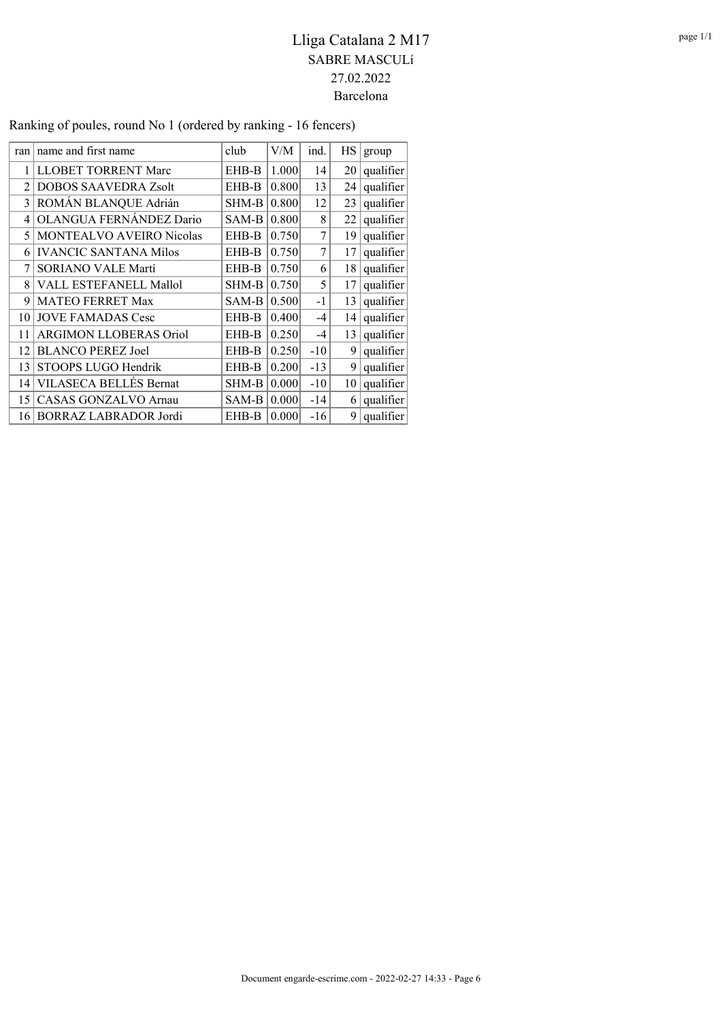| ran            | name and first name           | club  | V/M   | ind.  | HS. | group     |
|----------------|-------------------------------|-------|-------|-------|-----|-----------|
| 1              | LLOBET TORRENT Marc           | EHB-B | 1.000 | 14    | 20  | qualifier |
| $\mathfrak{D}$ | <b>DOBOS SAAVEDRA Zsolt</b>   | EHB-B | 0.800 | 13    | 24  | qualifier |
| 3              | ROMÁN BLANQUE Adrián          | SHM-B | 0.800 | 12    | 23  | qualifier |
| 4              | OLANGUA FERNÁNDEZ Dario       | SAM-B | 0.800 | 8     | 22  | qualifier |
| 5              | MONTEALVO AVEIRO Nicolas      | EHB-B | 0.750 | 7     | 19  | qualifier |
| 6              | <b>IVANCIC SANTANA Milos</b>  | EHB-B | 0.750 | 7     | 17  | qualifier |
| 7              | <b>SORIANO VALE Martí</b>     | EHB-B | 0.750 | 6     | 18  | qualifier |
| 8              | VALL ESTEFANELL Mallol        | SHM-B | 0.750 | 5     | 17  | qualifier |
| 9              | <b>MATEO FERRET Max</b>       | SAM-B | 0.500 | $-1$  | 13  | qualifier |
| 10             | <b>JOVE FAMADAS Cesc</b>      | EHB-B | 0.400 | $-4$  | 4   | qualifier |
| 11             | <b>ARGIMON LLOBERAS Oriol</b> | EHB-B | 0.250 | $-4$  | 13  | qualifier |
| 12             | <b>BLANCO PEREZ Joel</b>      | EHB-B | 0.250 | $-10$ | 9   | qualifier |
| 13             | STOOPS LUGO Hendrik           | EHB-B | 0.200 | $-13$ | 9   | qualifier |
| 14             | VILASECA BELLÉS Bernat        | SHM-B | 0.000 | $-10$ | 10  | qualifier |
| 15             | CASAS GONZALVO Arnau          | SAM-B | 0.000 | $-14$ | 6   | qualifier |
|                | 16 BORRAZ LABRADOR Jordi      | EHB-B | 0.000 | $-16$ | 9   | qualifier |

Ranking of poules, round No 1 (ordered by ranking - 16 fencers)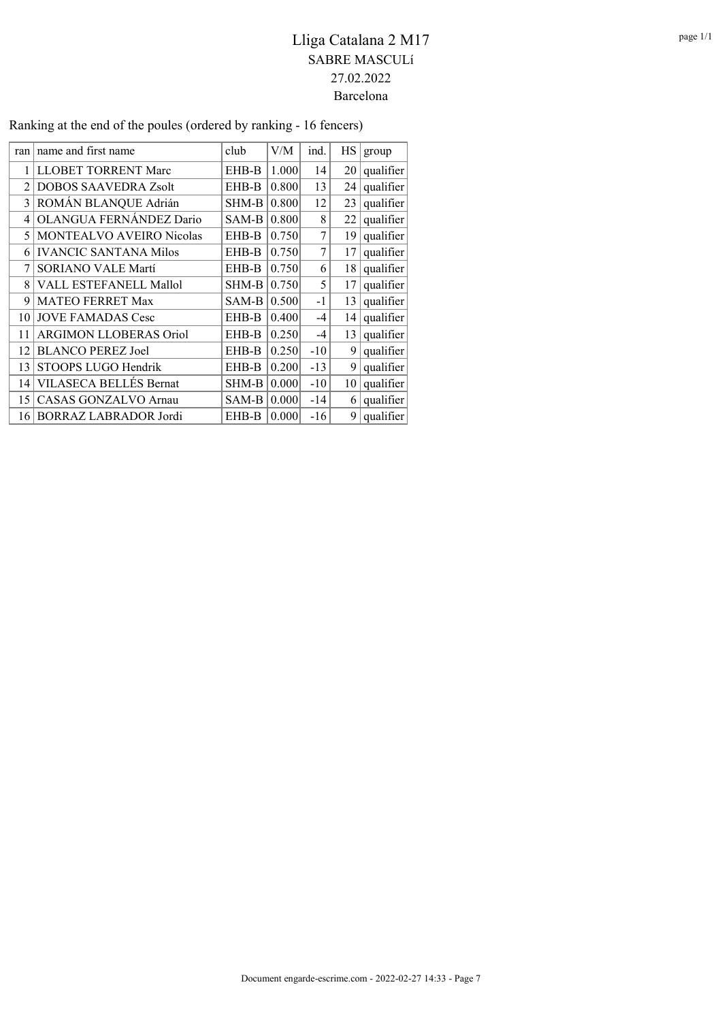| ran            | name and first name           | club  | V/M   | ind.  | НS | group     |
|----------------|-------------------------------|-------|-------|-------|----|-----------|
| 1              | LLOBET TORRENT Marc           | EHB-B | 1.000 | 14    | 20 | qualifier |
| $\mathfrak{D}$ | <b>DOBOS SAAVEDRA Zsolt</b>   | EHB-B | 0.800 | 13    | 24 | qualifier |
| 3              | ROMÁN BLANQUE Adrián          | SHM-B | 0.800 | 12    | 23 | qualifier |
| 4              | OLANGUA FERNÁNDEZ Dario       | SAM-B | 0.800 | 8     | 22 | qualifier |
| 5              | MONTEALVO AVEIRO Nicolas      | EHB-B | 0.750 | 7     | 19 | qualifier |
| 6              | <b>IVANCIC SANTANA Milos</b>  | EHB-B | 0.750 | 7     | 17 | qualifier |
| 7              | <b>SORIANO VALE Martí</b>     | EHB-B | 0.750 | 6     | 18 | qualifier |
| 8              | VALL ESTEFANELL Mallol        | SHM-B | 0.750 | 5     | 17 | qualifier |
| 9              | <b>MATEO FERRET Max</b>       | SAM-B | 0.500 | $-1$  | 13 | qualifier |
| 10             | <b>JOVE FAMADAS Cesc</b>      | EHB-B | 0.400 | $-4$  | 14 | qualifier |
| 11             | <b>ARGIMON LLOBERAS Oriol</b> | EHB-B | 0.250 | $-4$  | 13 | qualifier |
| 12             | <b>BLANCO PEREZ Joel</b>      | EHB-B | 0.250 | $-10$ | 9  | qualifier |
| 13             | STOOPS LUGO Hendrik           | EHB-B | 0.200 | $-13$ | 9  | qualifier |
| 14             | VILASECA BELLÉS Bernat        | SHM-B | 0.000 | $-10$ | 10 | qualifier |
| 15             | <b>CASAS GONZALVO Arnau</b>   | SAM-B | 0.000 | $-14$ | 6  | qualifier |
| 16             | BORRAZ LABRADOR Jordi         | EHB-B | 0.000 | $-16$ | 9  | qualifier |

Ranking at the end of the poules (ordered by ranking - 16 fencers)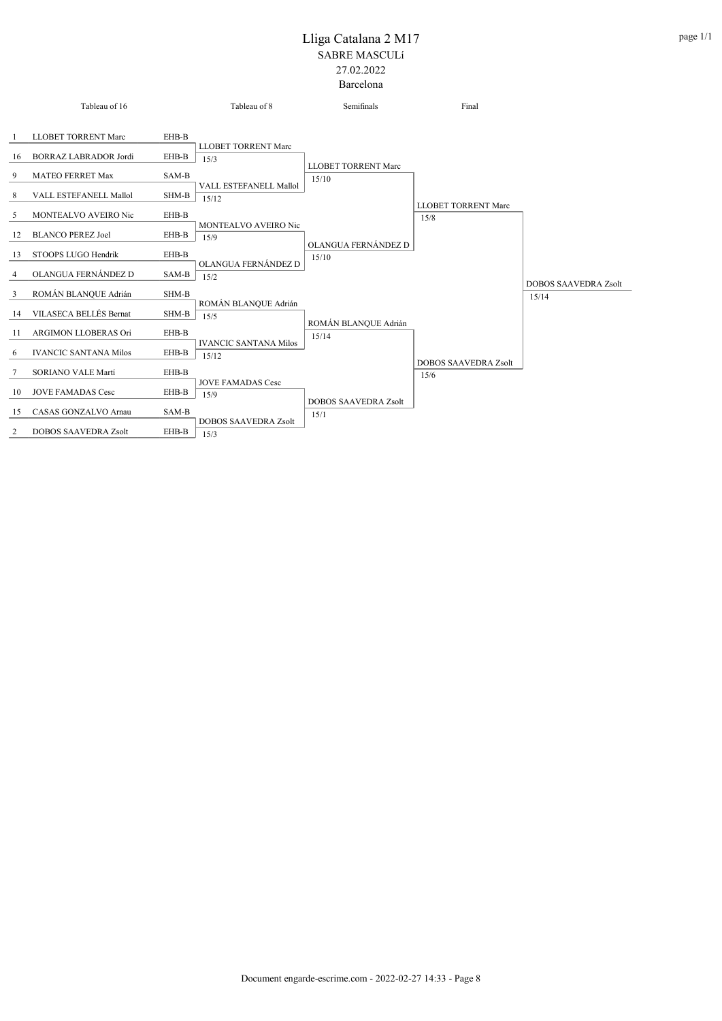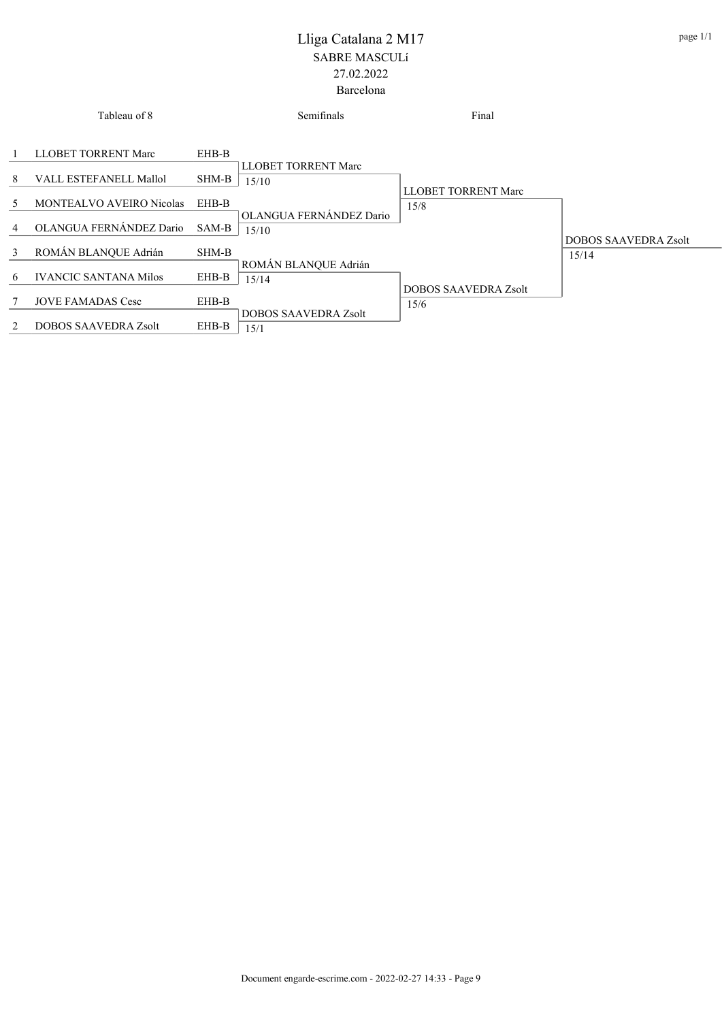|                | Tableau of 8                    |       | Semifinals                          | Final                       |                             |
|----------------|---------------------------------|-------|-------------------------------------|-----------------------------|-----------------------------|
| -1             | LLOBET TORRENT Marc             | EHB-B |                                     |                             |                             |
| 8              | VALL ESTEFANELL Mallol          | SHM-B | <b>LLOBET TORRENT Marc</b><br>15/10 | <b>LLOBET TORRENT Marc</b>  |                             |
| 5              | <b>MONTEALVO AVEIRO Nicolas</b> | EHB-B | OLANGUA FERNÁNDEZ Dario             | 15/8                        |                             |
| $\overline{4}$ | OLANGUA FERNÁNDEZ Dario         | SAM-B | 15/10                               |                             | <b>DOBOS SAAVEDRA Zsolt</b> |
| 3              | ROMÁN BLANQUE Adrián            | SHM-B | ROMÁN BLANQUE Adrián                |                             | 15/14                       |
| 6              | <b>IVANCIC SANTANA Milos</b>    | EHB-B | 15/14                               | <b>DOBOS SAAVEDRA Zsolt</b> |                             |
| 7              | <b>JOVE FAMADAS Cesc</b>        | EHB-B | <b>DOBOS SAAVEDRA Zsolt</b>         | 15/6                        |                             |
| 2              | <b>DOBOS SAAVEDRA Zsolt</b>     | EHB-B | 15/1                                |                             |                             |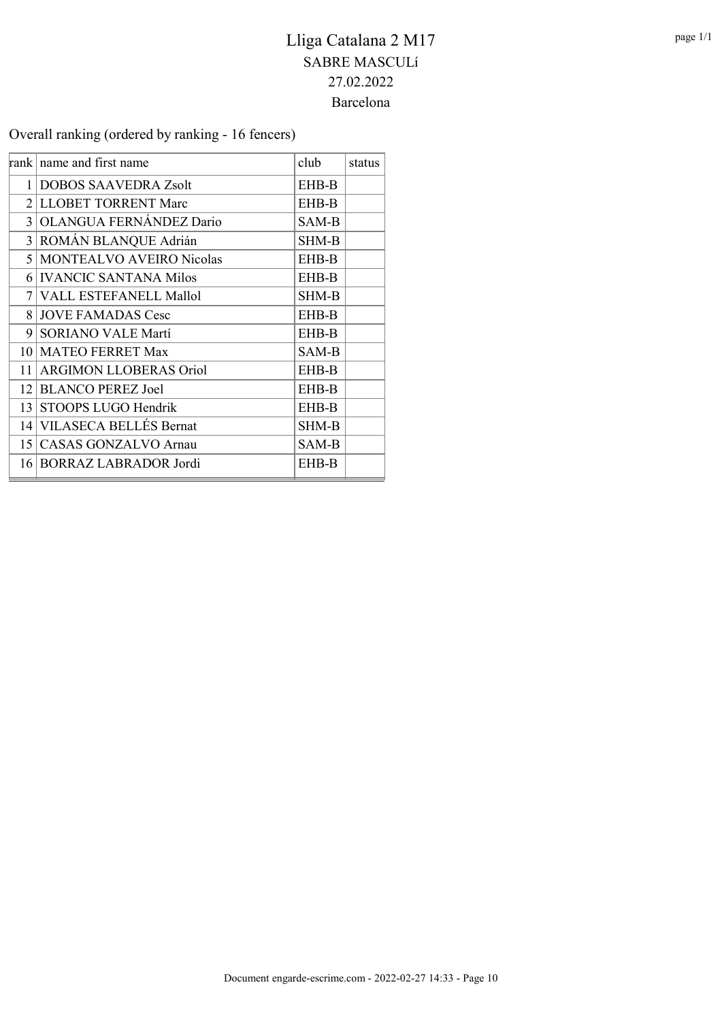Overall ranking (ordered by ranking - 16 fencers)

|    | rank name and first name      | club         | status |
|----|-------------------------------|--------------|--------|
|    | 1 DOBOS SAAVEDRA Zsolt        | EHB-B        |        |
|    | 2 LLOBET TORRENT Marc         | EHB-B        |        |
|    | 3 OLANGUA FERNÁNDEZ Dario     | SAM-B        |        |
|    | 3 ROMÁN BLANQUE Adrián        | <b>SHM-B</b> |        |
|    | 5 MONTEALVO AVEIRO Nicolas    | EHB-B        |        |
|    | 6 IVANCIC SANTANA Milos       | EHB-B        |        |
|    | 7 VALL ESTEFANELL Mallol      | <b>SHM-B</b> |        |
|    | 8 JOVE FAMADAS Cesc           | <b>EHB-B</b> |        |
|    | 9 SORIANO VALE Martí          | EHB-B        |        |
|    | 10 MATEO FERRET Max           | SAM-B        |        |
| 11 | <b>ARGIMON LLOBERAS Oriol</b> | EHB-B        |        |
|    | 12 BLANCO PEREZ Joel          | EHB-B        |        |
|    | 13 STOOPS LUGO Hendrik        | <b>EHB-B</b> |        |
|    | 14 VILASECA BELLÉS Bernat     | <b>SHM-B</b> |        |
|    | 15 CASAS GONZALVO Arnau       | SAM-B        |        |
|    | 16 BORRAZ LABRADOR Jordi      | EHB-B        |        |
|    |                               |              |        |